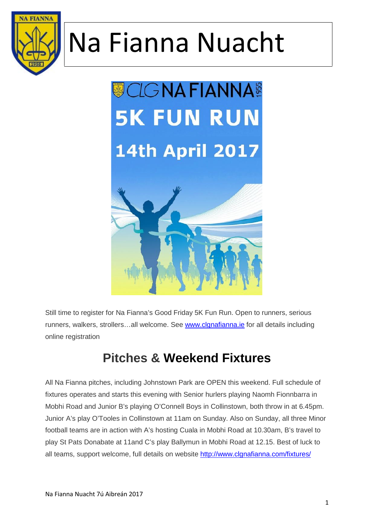



Still time to register for Na Fianna's Good Friday 5K Fun Run. Open to runners, serious runners, walkers, strollers…all welcome. See www.clgnafianna.ie for all details including online registration

### **Pitches & Weekend Fixtures**

All Na Fianna pitches, including Johnstown Park are OPEN this weekend. Full schedule of fixtures operates and starts this evening with Senior hurlers playing Naomh Fionnbarra in Mobhi Road and Junior B's playing O'Connell Boys in Collinstown, both throw in at 6.45pm. Junior A's play O'Tooles in Collinstown at 11am on Sunday. Also on Sunday, all three Minor football teams are in action with A's hosting Cuala in Mobhi Road at 10.30am, B's travel to play St Pats Donabate at 11and C's play Ballymun in Mobhi Road at 12.15. Best of luck to all teams, support welcome, full details on website http://www.clgnafianna.com/fixtures/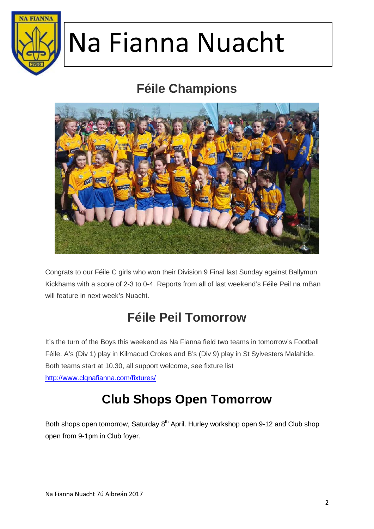

### **Féile Champions**



Congrats to our Féile C girls who won their Division 9 Final last Sunday against Ballymun Kickhams with a score of 2-3 to 0-4. Reports from all of last weekend's Féile Peil na mBan will feature in next week's Nuacht.

## **Féile PeilTomorrow**

It's the turn of the Boys this weekend as Na Fianna field two teams in tomorrow's Football Féile. A's (Div 1) play in Kilmacud Crokes and B's (Div 9) play in St Sylvesters Malahide. Both teams start at 10.30, all support welcome, see fixture list http://www.clgnafianna.com/fixtures/

## **Club Shops Open Tomorrow**

Both shops open tomorrow, Saturday 8<sup>th</sup> April. Hurley workshop open 9-12 and Club shop open from 9-1pm in Club foyer.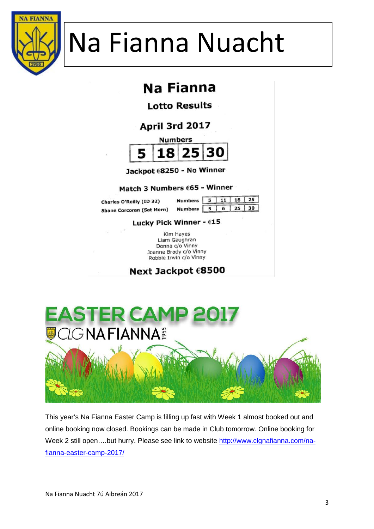

## Na Fianna

**Lotto Results** 

April 3rd 2017



Jackpot €8250 - No Winner

#### Match 3 Numbers £65 - Winner

Charles O'Reilly (ID 32) **Shane Corcoran (Sat Morn)** 

| Numbers   | 5.1 | $11$   18   25      |  |
|-----------|-----|---------------------|--|
| Numbers 5 |     | $6 \mid 25 \mid 30$ |  |

#### Lucky Pick Winner - €15

Kim Hayes Liam Gaughran Donna c/o Vinny Joanne Brady c/o Vinny Robbie Irwin c/o Vinny

Next Jackpot €8500



This year's Na Fianna Easter Camp is filling up fast with Week 1 almost booked out and online booking now closed. Bookings can be made in Club tomorrow. Online booking for Week 2 still open....but hurry. Please see link to website http://www.clgnafianna.com/nafianna-easter-camp-2017/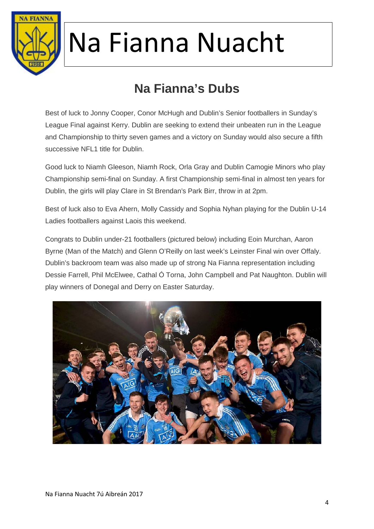

## **Na Fianna's Dubs**

Best of luck to Jonny Cooper, Conor McHugh and Dublin's Senior footballers in Sunday's League Final against Kerry. Dublin are seeking to extend their unbeaten run in the League and Championship to thirty seven games and a victory on Sunday would also secure a fifth successive NFL1 title for Dublin.

Good luck to Niamh Gleeson, Niamh Rock, Orla Gray and Dublin Camogie Minors who play Championship semi-final on Sunday. A first Championship semi-final in almost ten years for Dublin, the girls will play Clare in St Brendan's Park Birr, throw in at 2pm.

Best of luck also to Eva Ahern, Molly Cassidy and Sophia Nyhan playing for the Dublin U-14 Ladies footballers against Laois this weekend.

Congrats to Dublin under-21 footballers (pictured below) including Eoin Murchan, Aaron Byrne (Man of the Match) and Glenn O'Reilly on last week's Leinster Final win over Offaly. Dublin's backroom team was also made up of strong Na Fianna representation including Dessie Farrell, Phil McElwee, Cathal Ó Torna, John Campbell and Pat Naughton. Dublin will play winners of Donegal and Derry on Easter Saturday.

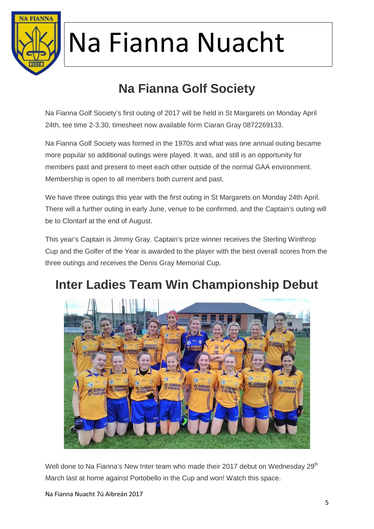

# **Na Fianna Golf Society**

Na Fianna Golf Society's first outing of 2017 will be held in St Margarets on Monday April 24th, tee time 2-3.30, timesheet now available form Ciaran Gray 0872269133.

Na Fianna Golf Society was formed in the 1970s and what was one annual outing became more popular so additional outings were played. It was, and still is an opportunity for members past and present to meet each other outside of the normal GAA environment. Membership is open to all members both current and past.

We have three outings this year with the first outing in St Margarets on Monday 24th April. There will a further outing in early June, venue to be confirmed, and the Captain's outing will be to Clontarf at the end of August.

This year's Captain is Jimmy Gray. Captain's prize winner receives the Sterling Winthrop Cup and the Golfer of the Year is awarded to the player with the best overall scores from the three outings and receives the Denis Gray Memorial Cup.

## **Inter Ladies Team Win Championship Debut**



Well done to Na Fianna's New Inter team who made their 2017 debut on Wednesday 29<sup>th</sup> March last at home against Portobello in the Cup and won! Watch this space.

Na Fianna Nuacht 7ú Aibreán 2017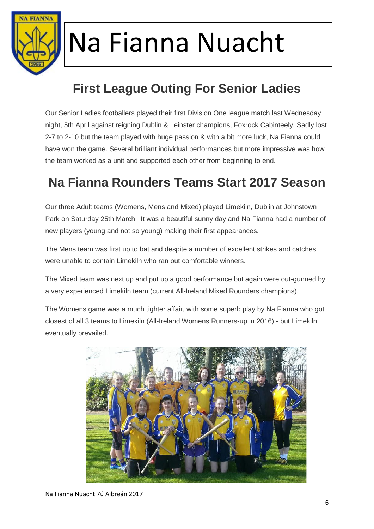

# **First League Outing For Senior Ladies**

Our Senior Ladies footballers played their first Division One league match last Wednesday night, 5th April against reigning Dublin & Leinster champions, Foxrock Cabinteely. Sadly lost 2-7 to 2-10 but the team played with huge passion & with a bit more luck, Na Fianna could have won the game. Several brilliant individual performances but more impressive was how the team worked as a unit and supported each other from beginning to end.

### **Na Fianna Rounders Teams Start 2017 Season**

Our three Adult teams (Womens, Mens and Mixed) played Limekiln, Dublin at Johnstown Park on Saturday 25th March. It was a beautiful sunny day and Na Fianna had a number of new players (young and not so young) making their first appearances.

The Mens team was first up to bat and despite a number of excellent strikes and catches were unable to contain Limekiln who ran out comfortable winners.

The Mixed team was next up and put up a good performance but again were out-gunned by a very experienced Limekiln team (current All-Ireland Mixed Rounders champions).

The Womens game was a much tighter affair, with some superb play by Na Fianna who got closest of all 3 teams to Limekiln (All-Ireland Womens Runners-up in 2016) - but Limekiln eventually prevailed.